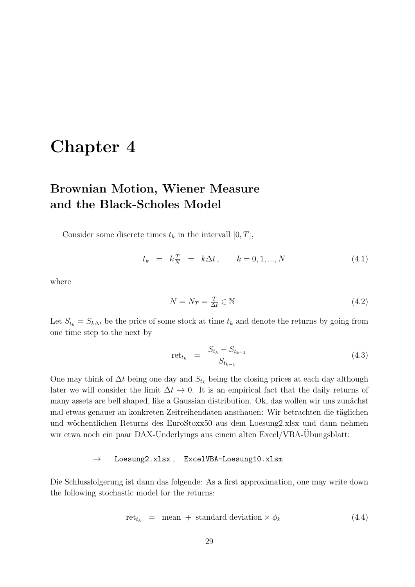# Chapter 4

## Brownian Motion, Wiener Measure and the Black-Scholes Model

Consider some discrete times  $t_k$  in the intervall  $[0, T]$ ,

$$
t_k = k \frac{T}{N} = k \Delta t, \qquad k = 0, 1, ..., N \tag{4.1}
$$

where

$$
N = N_T = \frac{T}{\Delta t} \in \mathbb{N} \tag{4.2}
$$

Let  $S_{t_k} = S_{k\Delta t}$  be the price of some stock at time  $t_k$  and denote the returns by going from one time step to the next by

$$
ret_{t_k} = \frac{S_{t_k} - S_{t_{k-1}}}{S_{t_{k-1}}}
$$
\n(4.3)

One may think of  $\Delta t$  being one day and  $S_{t_k}$  being the closing prices at each day although later we will consider the limit  $\Delta t \to 0$ . It is an empirical fact that the daily returns of many assets are bell shaped, like a Gaussian distribution. Ok, das wollen wir uns zunächst mal etwas genauer an konkreten Zeitreihendaten anschauen: Wir betrachten die täglichen und wöchentlichen Returns des EuroStoxx50 aus dem Loesung2.xlsx und dann nehmen wir etwa noch ein paar DAX-Underlyings aus einem alten Excel/VBA-Übungsblatt:

#### $\rightarrow$  Loesung2.xlsx, ExcelVBA-Loesung10.xlsm

Die Schlussfolgerung ist dann das folgende: As a first approximation, one may write down the following stochastic model for the returns:

$$
rettk = mean + standard deviation \times \phik
$$
 (4.4)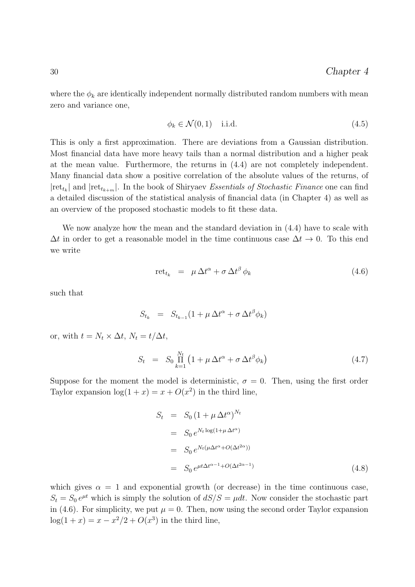where the  $\phi_k$  are identically independent normally distributed random numbers with mean zero and variance one,

$$
\phi_k \in \mathcal{N}(0,1) \quad \text{i.i.d.} \tag{4.5}
$$

This is only a first approximation. There are deviations from a Gaussian distribution. Most financial data have more heavy tails than a normal distribution and a higher peak at the mean value. Furthermore, the returns in (4.4) are not completely independent. Many financial data show a positive correlation of the absolute values of the returns, of  $|\text{ret}_{t_k}|$  and  $|\text{ret}_{t_{k+m}}|$ . In the book of Shiryaev Essentials of Stochastic Finance one can find a detailed discussion of the statistical analysis of financial data (in Chapter 4) as well as an overview of the proposed stochastic models to fit these data.

We now analyze how the mean and the standard deviation in (4.4) have to scale with  $\Delta t$  in order to get a reasonable model in the time continuous case  $\Delta t \to 0$ . To this end we write

$$
\text{ret}_{t_k} = \mu \Delta t^{\alpha} + \sigma \Delta t^{\beta} \phi_k \tag{4.6}
$$

such that

$$
S_{t_k} = S_{t_{k-1}} (1 + \mu \Delta t^{\alpha} + \sigma \Delta t^{\beta} \phi_k)
$$

or, with  $t = N_t \times \Delta t$ ,  $N_t = t/\Delta t$ ,

$$
S_t = S_0 \prod_{k=1}^{N_t} \left( 1 + \mu \Delta t^{\alpha} + \sigma \Delta t^{\beta} \phi_k \right) \tag{4.7}
$$

Suppose for the moment the model is deterministic,  $\sigma = 0$ . Then, using the first order Taylor expansion  $\log(1+x) = x + O(x^2)$  in the third line,

$$
S_t = S_0 \left(1 + \mu \Delta t^{\alpha}\right)^{N_t}
$$
  
\n
$$
= S_0 e^{N_t \log(1 + \mu \Delta t^{\alpha})}
$$
  
\n
$$
= S_0 e^{N_t(\mu \Delta t^{\alpha} + O(\Delta t^{2\alpha}))}
$$
  
\n
$$
= S_0 e^{\mu t \Delta t^{\alpha - 1} + O(\Delta t^{2\alpha - 1})}
$$
\n(4.8)

which gives  $\alpha = 1$  and exponential growth (or decrease) in the time continuous case,  $S_t = S_0 e^{\mu t}$  which is simply the solution of  $dS/S = \mu dt$ . Now consider the stochastic part in (4.6). For simplicity, we put  $\mu = 0$ . Then, now using the second order Taylor expansion  $log(1+x) = x - x^2/2 + O(x^3)$  in the third line,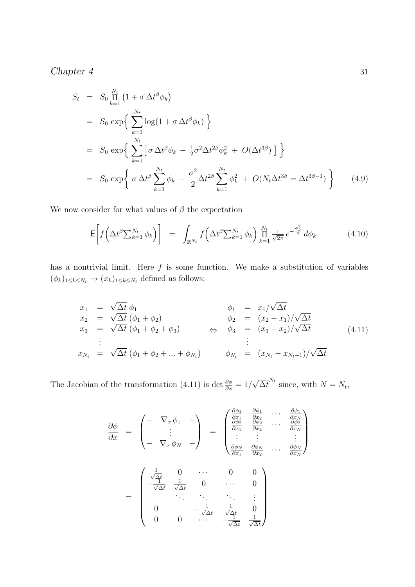$$
S_t = S_0 \prod_{k=1}^{N_t} \left(1 + \sigma \Delta t^{\beta} \phi_k\right)
$$
  
\n
$$
= S_0 \exp\left\{\sum_{k=1}^{N_t} \log(1 + \sigma \Delta t^{\beta} \phi_k)\right\}
$$
  
\n
$$
= S_0 \exp\left\{\sum_{k=1}^{N_t} \left[\sigma \Delta t^{\beta} \phi_k - \frac{1}{2} \sigma^2 \Delta t^{2\beta} \phi_k^2 + O(\Delta t^{3\beta})\right]\right\}
$$
  
\n
$$
= S_0 \exp\left\{\sigma \Delta t^{\beta} \sum_{k=1}^{N_t} \phi_k - \frac{\sigma^2}{2} \Delta t^{2\beta} \sum_{k=1}^{N_t} \phi_k^2 + O(N_t \Delta t^{3\beta} = \Delta t^{3\beta - 1})\right\}
$$
(4.9)

We now consider for what values of  $\beta$  the expectation

$$
\mathsf{E}\bigg[f\bigg(\Delta t^{\beta} \sum_{k=1}^{N_t} \phi_k\bigg)\bigg] = \int_{\mathbb{R}^{N_t}} f\bigg(\Delta t^{\beta} \sum_{k=1}^{N_t} \phi_k\bigg) \prod_{k=1}^{N_t} \frac{1}{\sqrt{2\pi}} e^{-\frac{\phi_k^2}{2}} d\phi_k \tag{4.10}
$$

has a nontrivial limit. Here  $f$  is some function. We make a substitution of variables  $(\phi_k)_{1\leq k\leq N_t}\to (x_k)_{1\leq k\leq N_t}$  defined as follows:

$$
x_1 = \sqrt{\Delta t} \phi_1
$$
  
\n
$$
x_2 = \sqrt{\Delta t} (\phi_1 + \phi_2)
$$
  
\n
$$
x_3 = \sqrt{\Delta t} (\phi_1 + \phi_2 + \phi_3)
$$
  
\n
$$
\vdots
$$
  
\n
$$
x_{N_t} = \sqrt{\Delta t} (\phi_1 + \phi_2 + \dots + \phi_{N_t})
$$
  
\n
$$
\phi_1 = x_1/\sqrt{\Delta t}
$$
  
\n
$$
\phi_2 = (x_2 - x_1)/\sqrt{\Delta t}
$$
  
\n
$$
\phi_3 = (x_3 - x_2)/\sqrt{\Delta t}
$$
  
\n
$$
\vdots
$$
  
\n
$$
\vdots
$$
  
\n
$$
x_{N_t} = \sqrt{\Delta t} (\phi_1 + \phi_2 + \dots + \phi_{N_t})
$$
  
\n
$$
\phi_{N_t} = (x_{N_t} - x_{N_t-1})/\sqrt{\Delta t}
$$
  
\n(4.11)

The Jacobian of the transformation (4.11) is det  $\frac{\partial \phi}{\partial x} = 1/$ √  $\overline{\Delta t}^{N_t}$  since, with  $N = N_t$ ,

$$
\frac{\partial \phi}{\partial x} = \begin{pmatrix} - & \nabla_x \phi_1 & - \\ & \nabla_x \phi_1 & - \\ \vdots & \vdots & \vdots \\ - & \nabla_x \phi_N & - \end{pmatrix} = \begin{pmatrix} \frac{\partial \phi_1}{\partial x_1} & \frac{\partial \phi_1}{\partial x_2} & \cdots & \frac{\partial \phi_1}{\partial x_N} \\ \frac{\partial \phi_2}{\partial x_1} & \frac{\partial \phi_2}{\partial x_2} & \cdots & \frac{\partial \phi_2}{\partial x_N} \\ \vdots & \vdots & & \vdots \\ \frac{\partial \phi_N}{\partial x_1} & \frac{\partial \phi_N}{\partial x_2} & \cdots & \frac{\partial \phi_N}{\partial x_N} \end{pmatrix}
$$

$$
= \begin{pmatrix} \frac{1}{\sqrt{\Delta t}} & 0 & \cdots & 0 & 0 \\ -\frac{1}{\sqrt{\Delta t}} & \frac{1}{\sqrt{\Delta t}} & 0 & \cdots & 0 \\ 0 & -\frac{1}{\sqrt{\Delta t}} & \frac{1}{\sqrt{\Delta t}} & 0 \\ 0 & 0 & \cdots & -\frac{1}{\sqrt{\Delta t}} & \frac{1}{\sqrt{\Delta t}} \end{pmatrix}
$$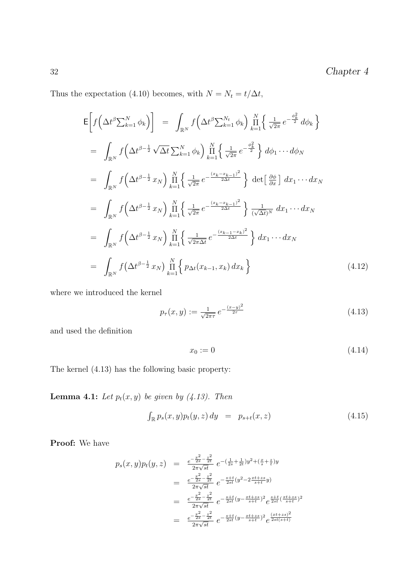Thus the expectation (4.10) becomes, with  $N = N_t = t/\Delta t,$ 

$$
\begin{split}\n\mathsf{E}\left[f\left(\Delta t^{\beta}\sum_{k=1}^{N}\phi_{k}\right)\right] &= \int_{\mathbb{R}^{N}}f\left(\Delta t^{\beta}\sum_{k=1}^{N_{t}}\phi_{k}\right)\prod_{k=1}^{N}\left\{\frac{1}{\sqrt{2\pi}}\,e^{-\frac{\phi_{k}^{2}}{2}}\,d\phi_{k}\right\} \\
&= \int_{\mathbb{R}^{N}}f\left(\Delta t^{\beta-\frac{1}{2}}\sqrt{\Delta t}\sum_{k=1}^{N}\phi_{k}\right)\prod_{k=1}^{N}\left\{\frac{1}{\sqrt{2\pi}}\,e^{-\frac{\phi_{k}^{2}}{2}}\right\}d\phi_{1}\cdots d\phi_{N} \\
&= \int_{\mathbb{R}^{N}}f\left(\Delta t^{\beta-\frac{1}{2}}x_{N}\right)\prod_{k=1}^{N}\left\{\frac{1}{\sqrt{2\pi}}\,e^{-\frac{(x_{k}-x_{k-1})^{2}}{2\Delta t}}\right\}\,\det\left[\frac{\partial\phi}{\partial x}\right]dx_{1}\cdots dx_{N} \\
&= \int_{\mathbb{R}^{N}}f\left(\Delta t^{\beta-\frac{1}{2}}x_{N}\right)\prod_{k=1}^{N}\left\{\frac{1}{\sqrt{2\pi}}\,e^{-\frac{(x_{k}-x_{k-1})^{2}}{2\Delta t}}\right\}\frac{1}{(\sqrt{\Delta t})^{N}}\,dx_{1}\cdots dx_{N} \\
&= \int_{\mathbb{R}^{N}}f\left(\Delta t^{\beta-\frac{1}{2}}x_{N}\right)\prod_{k=1}^{N}\left\{\frac{1}{\sqrt{2\pi\Delta t}}\,e^{-\frac{(x_{k-1}-x_{k})^{2}}{2\Delta t}}\right\}dx_{1}\cdots dx_{N} \\
&= \int_{\mathbb{R}^{N}}f\left(\Delta t^{\beta-\frac{1}{2}}x_{N}\right)\prod_{k=1}^{N}\left\{p_{\Delta t}(x_{k-1},x_{k})\,dx_{k}\right\} \tag{4.12}\n\end{split}
$$

where we introduced the kernel

$$
p_{\tau}(x,y) := \frac{1}{\sqrt{2\pi\tau}} e^{-\frac{(x-y)^2}{2\tau}}
$$
\n(4.13)

and used the definition

$$
x_0 := 0 \tag{4.14}
$$

The kernel (4.13) has the following basic property:

**Lemma 4.1:** Let  $p_t(x, y)$  be given by (4.13). Then

$$
\int_{\mathbb{R}} p_s(x, y) p_t(y, z) \, dy = p_{s+t}(x, z) \tag{4.15}
$$

Proof: We have

$$
p_s(x, y)p_t(y, z) = \frac{e^{-\frac{x^2}{2s} - \frac{z^2}{2t}}}{2\pi\sqrt{st}} e^{-\left(\frac{1}{2s} + \frac{1}{2t}\right)y^2 + \left(\frac{x}{s} + \frac{z}{t}\right)y}
$$
  
\n
$$
= \frac{e^{-\frac{x^2}{2s} - \frac{z^2}{2t}}}{2\pi\sqrt{st}} e^{-\frac{s+t}{2st}\left(y^2 - 2\frac{xt + zs}{s+t}y\right)}
$$
  
\n
$$
= \frac{e^{-\frac{x^2}{2s} - \frac{z^2}{2t}}}{2\pi\sqrt{st}} e^{-\frac{s+t}{2st}\left(y - \frac{xt + zs}{s+t}\right)^2} e^{\frac{s+t}{2st}\left(\frac{xt + zs}{s+t}\right)^2}
$$
  
\n
$$
= \frac{e^{-\frac{x^2}{2s} - \frac{z^2}{2t}}}{2\pi\sqrt{st}} e^{-\frac{s+t}{2st}\left(y - \frac{xt + zs}{s+t}\right)^2} e^{\frac{(xt + zs)^2}{2st\left(s+t\right)^2}}
$$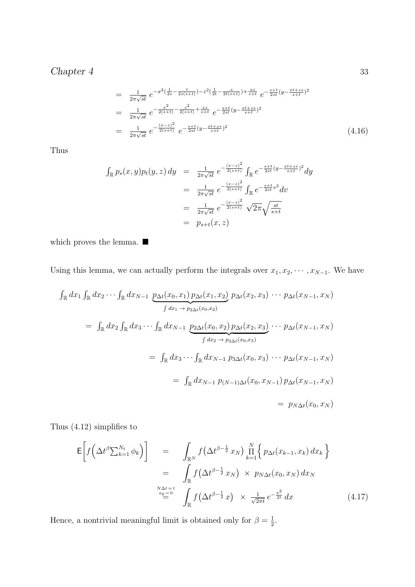$$
= \frac{1}{2\pi\sqrt{st}} e^{-x^2(\frac{1}{2s} - \frac{t}{2s(s+t)}) - z^2(\frac{1}{2t} - \frac{s}{2t(s+t)}) + \frac{xz}{s+t}} e^{-\frac{s+t}{2st}(y - \frac{xt+zs}{s+t})^2}
$$
  
\n
$$
= \frac{1}{2\pi\sqrt{st}} e^{-\frac{x^2}{2(s+t)} - \frac{z^2}{2(s+t)} + \frac{xz}{s+t}} e^{-\frac{s+t}{2st}(y - \frac{xt+zs}{s+t})^2}
$$
  
\n
$$
= \frac{1}{2\pi\sqrt{st}} e^{-\frac{(x-z)^2}{2(s+t)}} e^{-\frac{s+t}{2st}(y - \frac{xt+zs}{s+t})^2}
$$
(4.16)

Thus

$$
\int_{\mathbb{R}} p_s(x, y) p_t(y, z) \, dy = \frac{1}{2\pi\sqrt{st}} e^{-\frac{(x-z)^2}{2(s+t)}} \int_{\mathbb{R}} e^{-\frac{s+t}{2st}(y - \frac{xt+zs}{s+t})^2} dy
$$
\n
$$
= \frac{1}{2\pi\sqrt{st}} e^{-\frac{(x-z)^2}{2(s+t)}} \int_{\mathbb{R}} e^{-\frac{s+t}{2st}v^2} dv
$$
\n
$$
= \frac{1}{2\pi\sqrt{st}} e^{-\frac{(x-z)^2}{2(s+t)}} \sqrt{2\pi} \sqrt{\frac{st}{s+t}}
$$
\n
$$
= p_{s+t}(x, z)
$$

which proves the lemma.  $\blacksquare$ 

Using this lemma, we can actually perform the integrals over  $x_1, x_2, \cdots, x_{N-1}$ . We have

$$
\int_{\mathbb{R}} dx_1 \int_{\mathbb{R}} dx_2 \cdots \int_{\mathbb{R}} dx_{N-1} \underbrace{p_{\Delta t}(x_0, x_1) p_{\Delta t}(x_1, x_2)}_{\int dx_1 \to p_{2\Delta t}(x_0, x_2)} p_{\Delta t}(x_2, x_3) \cdots p_{\Delta t}(x_{N-1}, x_N)
$$
\n
$$
= \int_{\mathbb{R}} dx_2 \int_{\mathbb{R}} dx_3 \cdots \int_{\mathbb{R}} dx_{N-1} \underbrace{p_{2\Delta t}(x_0, x_2) p_{\Delta t}(x_2, x_3)}_{\int dx_2 \to p_{3\Delta t}(x_0, x_3)} \cdots p_{\Delta t}(x_{N-1}, x_N)
$$
\n
$$
= \int_{\mathbb{R}} dx_3 \cdots \int_{\mathbb{R}} dx_{N-1} p_{3\Delta t}(x_0, x_3) \cdots p_{\Delta t}(x_{N-1}, x_N)
$$
\n
$$
= \int_{\mathbb{R}} dx_{N-1} p_{(N-1)\Delta t}(x_0, x_{N-1}) p_{\Delta t}(x_{N-1}, x_N)
$$
\n
$$
= p_{N\Delta t}(x_0, x_N)
$$

Thus (4.12) simplifies to

$$
\mathsf{E}\left[f\left(\Delta t^{\beta}\sum_{k=1}^{N_t}\phi_k\right)\right] = \int_{\mathbb{R}^N}f\left(\Delta t^{\beta-\frac{1}{2}}x_N\right)\prod_{k=1}^N\left\{p_{\Delta t}(x_{k-1},x_k)\,dx_k\right\}
$$

$$
= \int_{\mathbb{R}^N}f\left(\Delta t^{\beta-\frac{1}{2}}x_N\right) \times p_{N\Delta t}(x_0,x_N)\,dx_N
$$

$$
\stackrel{N\Delta t=t}{=} \int_{\mathbb{R}^N}f\left(\Delta t^{\beta-\frac{1}{2}}x\right) \times \frac{1}{\sqrt{2\pi t}}e^{-\frac{x^2}{2t}}\,dx\tag{4.17}
$$

Hence, a nontrivial meaningful limit is obtained only for  $\beta = \frac{1}{2}$  $\frac{1}{2}$ .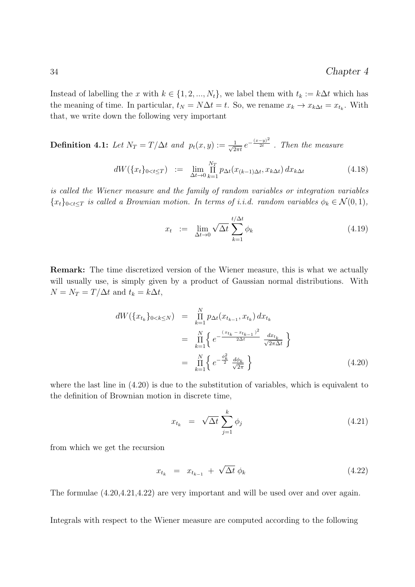Instead of labelling the x with  $k \in \{1, 2, ..., N_t\}$ , we label them with  $t_k := k\Delta t$  which has the meaning of time. In particular,  $t_N = N\Delta t = t$ . So, we rename  $x_k \to x_{k\Delta t} = x_{t_k}$ . With that, we write down the following very important

**Definition 4.1:** Let  $N_T = T/\Delta t$  and  $p_t(x, y) := \frac{1}{\sqrt{2}}$  $\frac{1}{2\pi t}\,e^{-\frac{(x-y)^2}{2t}}$  . Then the measure

$$
dW(\lbrace x_t \rbrace_{0 < t \le T} ) := \lim_{\Delta t \to 0} \prod_{k=1}^{N_T} p_{\Delta t}(x_{(k-1)\Delta t}, x_{k\Delta t}) dx_{k\Delta t} \tag{4.18}
$$

is called the Wiener measure and the family of random variables or integration variables  ${x_t}_{0 \leq t \leq T}$  is called a Brownian motion. In terms of i.i.d. random variables  $\phi_k \in \mathcal{N}(0,1)$ ,

$$
x_t := \lim_{\Delta t \to 0} \sqrt{\Delta t} \sum_{k=1}^{t/\Delta t} \phi_k \tag{4.19}
$$

Remark: The time discretized version of the Wiener measure, this is what we actually will usually use, is simply given by a product of Gaussian normal distributions. With  $N = N_T = T/\Delta t$  and  $t_k = k\Delta t$ ,

$$
dW(\lbrace x_{t_k} \rbrace_{0 < k \le N}) = \prod_{k=1}^{N} p_{\Delta t}(x_{t_{k-1}}, x_{t_k}) dx_{t_k}
$$
\n
$$
= \prod_{k=1}^{N} \lbrace e^{-\frac{(x_{t_k} - x_{t_{k-1}})^2}{2\Delta t}} \frac{dx_{t_k}}{\sqrt{2\pi\Delta t}} \rbrace
$$
\n
$$
= \prod_{k=1}^{N} \lbrace e^{-\frac{\phi_k^2}{2}} \frac{d\phi_k}{\sqrt{2\pi}} \rbrace
$$
\n(4.20)

where the last line in (4.20) is due to the substitution of variables, which is equivalent to the definition of Brownian motion in discrete time,

$$
x_{t_k} = \sqrt{\Delta t} \sum_{j=1}^k \phi_j \tag{4.21}
$$

from which we get the recursion

$$
x_{t_k} = x_{t_{k-1}} + \sqrt{\Delta t} \phi_k \qquad (4.22)
$$

The formulae (4.20,4.21,4.22) are very important and will be used over and over again.

Integrals with respect to the Wiener measure are computed according to the following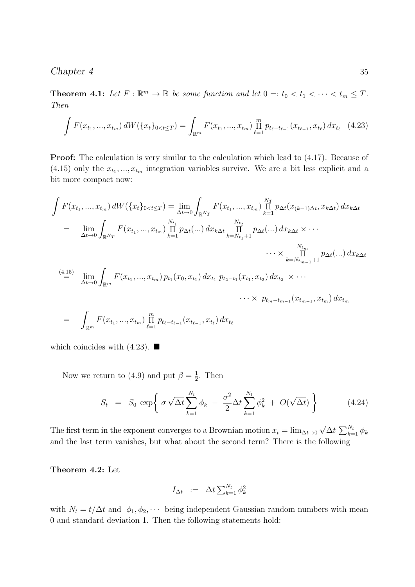**Theorem 4.1:** Let  $F : \mathbb{R}^m \to \mathbb{R}$  be some function and let  $0 =: t_0 < t_1 < \cdots < t_m \leq T$ . Then

$$
\int F(x_{t_1},...,x_{t_m}) dW(\lbrace x_t \rbrace_{0 < t \le T} ) = \int_{\mathbb{R}^m} F(x_{t_1},...,x_{t_m}) \prod_{\ell=1}^m p_{t_\ell - t_{\ell-1}}(x_{t_{\ell-1}}, x_{t_\ell}) dx_{t_\ell} \tag{4.23}
$$

Proof: The calculation is very similar to the calculation which lead to (4.17). Because of  $(4.15)$  only the  $x_{t_1},...,x_{t_m}$  integration variables survive. We are a bit less explicit and a bit more compact now:

$$
\int F(x_{t_1},...,x_{t_m}) dW(\lbrace x_t \rbrace_{0 < t \le T}) = \lim_{\Delta t \to 0} \int_{\mathbb{R}^{N_T}} F(x_{t_1},...,x_{t_m}) \prod_{k=1}^{N_T} p_{\Delta t}(x_{(k-1)\Delta t}, x_{k\Delta t}) dx_{k\Delta t}
$$
\n
$$
= \lim_{\Delta t \to 0} \int_{\mathbb{R}^{N_T}} F(x_{t_1},...,x_{t_m}) \prod_{k=1}^{N_{t_1}} p_{\Delta t}(...) dx_{k\Delta t} \prod_{k=N_{t_1}+1}^{N_{t_2}} p_{\Delta t}(...) dx_{k\Delta t} \times \cdots
$$
\n
$$
\cdots \times \prod_{k=N_{t_{m-1}+1}+1}^{N_{t_m}} p_{\Delta t}(...) dx_{k\Delta t}
$$
\n
$$
\stackrel{(4.15)}{=} \lim_{\Delta t \to 0} \int_{\mathbb{R}^m} F(x_{t_1},...,x_{t_m}) p_{t_1}(x_0, x_{t_1}) dx_{t_1} p_{t_2-t_1}(x_{t_1}, x_{t_2}) dx_{t_2} \times \cdots
$$
\n
$$
\cdots \times p_{t_m-t_{m-1}}(x_{t_{m-1}}, x_{t_m}) dx_{t_m}
$$
\n
$$
= \int_{\mathbb{R}^m} F(x_{t_1},...,x_{t_m}) \prod_{\ell=1}^m p_{t_\ell-t_{\ell-1}}(x_{t_{\ell-1}}, x_{t_\ell}) dx_{t_\ell}
$$

which coincides with  $(4.23)$ .

Now we return to (4.9) and put  $\beta = \frac{1}{2}$  $\frac{1}{2}$ . Then

$$
S_t = S_0 \exp\bigg\{\sigma \sqrt{\Delta t} \sum_{k=1}^{N_t} \phi_k - \frac{\sigma^2}{2} \Delta t \sum_{k=1}^{N_t} \phi_k^2 + O(\sqrt{\Delta t})\bigg\} \tag{4.24}
$$

The first term in the exponent converges to a Brownian motion  $x_t = \lim_{\Delta t \to 0}$ √  $\overline{\Delta t}\, \sum_{k=1}^{N_t} \phi_k$ and the last term vanishes, but what about the second term? There is the following

Theorem 4.2: Let

$$
I_{\Delta t} := \Delta t \sum_{k=1}^{N_t} \phi_k^2
$$

with  $N_t = t/\Delta t$  and  $\phi_1, \phi_2, \cdots$  being independent Gaussian random numbers with mean 0 and standard deviation 1. Then the following statements hold: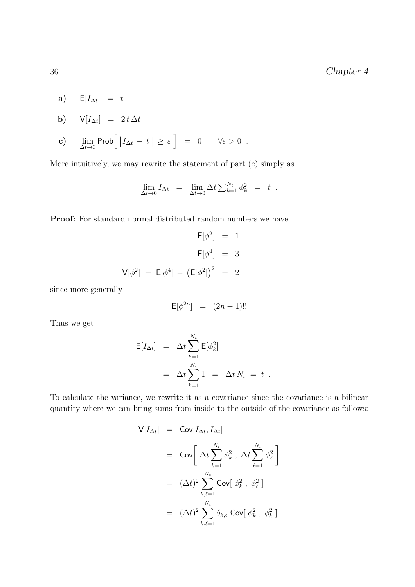a)  $\mathsf{E}[I_{\Delta t}] = t$ 

$$
b) \qquad V[I_{\Delta t}] = 2 t \Delta t
$$

c) 
$$
\lim_{\Delta t \to 0} \text{Prob} \Big[ |I_{\Delta t} - t| \geq \varepsilon \Big] = 0 \quad \forall \varepsilon > 0.
$$

More intuitively, we may rewrite the statement of part (c) simply as

$$
\lim_{\Delta t \to 0} I_{\Delta t} = \lim_{\Delta t \to 0} \Delta t \sum_{k=1}^{N_t} \phi_k^2 = t.
$$

Proof: For standard normal distributed random numbers we have

$$
E[\phi^2] = 1
$$
  
\n
$$
E[\phi^4] = 3
$$
  
\n
$$
V[\phi^2] = E[\phi^4] - (E[\phi^2])^2 = 2
$$

since more generally

$$
\mathsf{E}[\phi^{2n}] = (2n-1)!!
$$

Thus we get

$$
\mathsf{E}[I_{\Delta t}] = \Delta t \sum_{k=1}^{N_t} \mathsf{E}[\phi_k^2]
$$
  
=  $\Delta t \sum_{k=1}^{N_t} 1 = \Delta t N_t = t$ .

To calculate the variance, we rewrite it as a covariance since the covariance is a bilinear quantity where we can bring sums from inside to the outside of the covariance as follows:

$$
\begin{array}{rcl} \mathsf{V}[I_{\Delta t}] & = & \mathsf{Cov}[I_{\Delta t}, I_{\Delta t}] \\ \\ & = & \mathsf{Cov}\bigg[\,\Delta t \sum_{k=1}^{N_t} \phi_k^2 \ , \ \Delta t \sum_{\ell=1}^{N_t} \phi_\ell^2 \,\bigg] \\ \\ & = & (\Delta t)^2 \sum_{k,\ell=1}^{N_t} \mathsf{Cov}[\,\phi_k^2 \ , \ \phi_\ell^2 \,]\end{array}
$$

$$
= & (\Delta t)^2 \sum_{k,\ell=1}^{N_t} \delta_{k,\ell} \mathsf{Cov}[\,\phi_k^2 \ , \ \phi_k^2 \,]
$$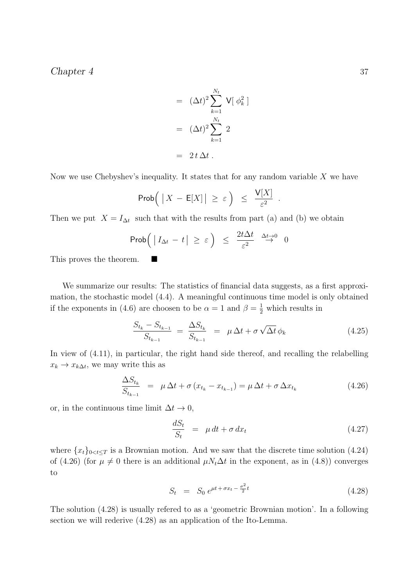$$
= (\Delta t)^2 \sum_{k=1}^{N_t} V[\phi_k^2]
$$

$$
= (\Delta t)^2 \sum_{k=1}^{N_t} 2
$$

$$
= 2t \Delta t.
$$

Now we use Chebyshev's inequality. It states that for any random variable  $X$  we have

$$
\mathsf{Prob}\Big(\left|X - \mathsf{E}[X]\right| \geq \varepsilon\Big) \leq \frac{\mathsf{V}[X]}{\varepsilon^2}
$$

Then we put  $X = I_{\Delta t}$  such that with the results from part (a) and (b) we obtain

$$
\mathrm{Prob}\Big(\left|\,I_{\Delta t}\,-\,t\,\right| \,\geq\,\varepsilon\,\Big)\;\,\leq\;\,\frac{2t\Delta t}{\varepsilon^2}\quad\mathop{\to}\limits^{\Delta t\to0}\quad 0
$$

This proves the theorem. ■

We summarize our results: The statistics of financial data suggests, as a first approximation, the stochastic model (4.4). A meaningful continuous time model is only obtained if the exponents in (4.6) are choosen to be  $\alpha = 1$  and  $\beta = \frac{1}{2}$  which results in

$$
\frac{S_{t_k} - S_{t_{k-1}}}{S_{t_{k-1}}} = \frac{\Delta S_{t_k}}{S_{t_{k-1}}} = \mu \Delta t + \sigma \sqrt{\Delta t} \phi_k
$$
\n(4.25)

In view of (4.11), in particular, the right hand side thereof, and recalling the relabelling  $x_k \to x_{k\Delta t}$ , we may write this as

$$
\frac{\Delta S_{t_k}}{S_{t_{k-1}}} = \mu \Delta t + \sigma (x_{t_k} - x_{t_{k-1}}) = \mu \Delta t + \sigma \Delta x_{t_k}
$$
\n(4.26)

or, in the continuous time limit  $\Delta t \to 0$ ,

$$
\frac{dS_t}{S_t} = \mu dt + \sigma dx_t \tag{4.27}
$$

.

where  $\{x_t\}_{0\leq t\leq T}$  is a Brownian motion. And we saw that the discrete time solution (4.24) of (4.26) (for  $\mu \neq 0$  there is an additional  $\mu N_t \Delta t$  in the exponent, as in (4.8)) converges to

$$
S_t = S_0 e^{\mu t + \sigma x_t - \frac{\sigma^2}{2}t} \tag{4.28}
$$

The solution (4.28) is usually refered to as a 'geometric Brownian motion'. In a following section we will rederive (4.28) as an application of the Ito-Lemma.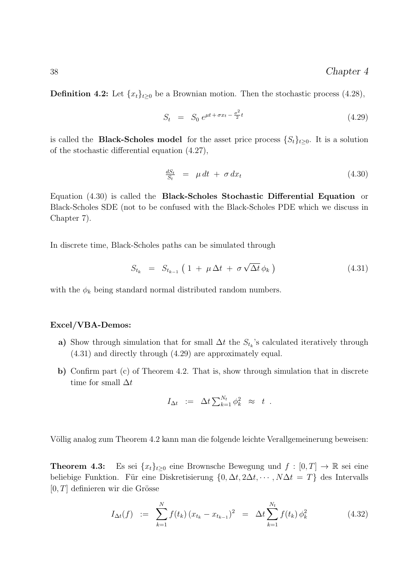**Definition 4.2:** Let  $\{x_t\}_{t\geq0}$  be a Brownian motion. Then the stochastic process (4.28),

$$
S_t = S_0 e^{\mu t + \sigma x_t - \frac{\sigma^2}{2}t} \tag{4.29}
$$

is called the **Black-Scholes model** for the asset price process  $\{S_t\}_{t\geq 0}$ . It is a solution of the stochastic differential equation (4.27),

$$
\frac{dS_t}{S_t} = \mu dt + \sigma dx_t \tag{4.30}
$$

Equation (4.30) is called the Black-Scholes Stochastic Differential Equation or Black-Scholes SDE (not to be confused with the Black-Scholes PDE which we discuss in Chapter 7).

In discrete time, Black-Scholes paths can be simulated through

$$
S_{t_k} = S_{t_{k-1}} \left( 1 + \mu \Delta t + \sigma \sqrt{\Delta t} \phi_k \right) \tag{4.31}
$$

with the  $\phi_k$  being standard normal distributed random numbers.

#### Excel/VBA-Demos:

- a) Show through simulation that for small  $\Delta t$  the  $S_{t_k}$ 's calculated iteratively through (4.31) and directly through (4.29) are approximately equal.
- b) Confirm part (c) of Theorem 4.2. That is, show through simulation that in discrete time for small  $\Delta t$

$$
I_{\Delta t} := \Delta t \sum_{k=1}^{N_t} \phi_k^2 \approx t .
$$

Völlig analog zum Theorem 4.2 kann man die folgende leichte Verallgemeinerung beweisen:

**Theorem 4.3:** Es sei  $\{x_t\}_{t\geq 0}$  eine Brownsche Bewegung und  $f : [0, T] \to \mathbb{R}$  sei eine beliebige Funktion. Für eine Diskretisierung  $\{0, \Delta t, 2\Delta t, \cdots, N\Delta t = T\}$  des Intervalls  $[0, T]$  definieren wir die Grösse

$$
I_{\Delta t}(f) := \sum_{k=1}^{N} f(t_k) (x_{t_k} - x_{t_{k-1}})^2 = \Delta t \sum_{k=1}^{N_t} f(t_k) \phi_k^2
$$
 (4.32)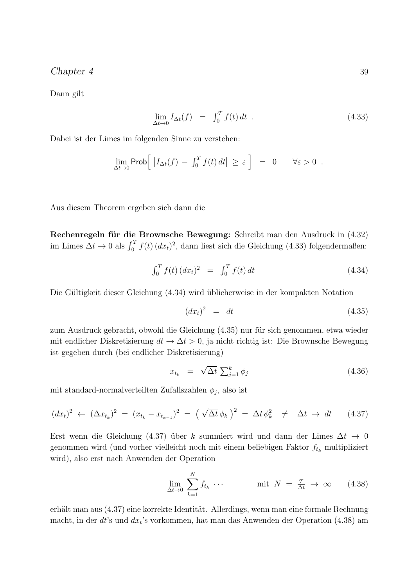Dann gilt

$$
\lim_{\Delta t \to 0} I_{\Delta t}(f) = \int_0^T f(t) dt . \qquad (4.33)
$$

Dabei ist der Limes im folgenden Sinne zu verstehen:

$$
\lim_{\Delta t \to 0} \mathsf{Prob} \Big[ \left| I_{\Delta t}(f) - \int_0^T f(t) \, dt \right| \geq \varepsilon \Big] = 0 \qquad \forall \varepsilon > 0 \; .
$$

Aus diesem Theorem ergeben sich dann die

Rechenregeln für die Brownsche Bewegung: Schreibt man den Ausdruck in (4.32) im Limes  $\Delta t \to 0$  als  $\int_0^T f(t) (dx_t)^2$ , dann liest sich die Gleichung (4.33) folgendermaßen:

$$
\int_0^T f(t) \, (dx_t)^2 \quad = \quad \int_0^T f(t) \, dt \tag{4.34}
$$

Die Gültigkeit dieser Gleichung (4.34) wird üblicherweise in der kompakten Notation

$$
(dx_t)^2 = dt \t\t(4.35)
$$

zum Ausdruck gebracht, obwohl die Gleichung (4.35) nur für sich genommen, etwa wieder mit endlicher Diskretisierung  $dt \to \Delta t > 0$ , ja nicht richtig ist: Die Brownsche Bewegung ist gegeben durch (bei endlicher Diskretisierung)

$$
x_{t_k} = \sqrt{\Delta t} \sum_{j=1}^k \phi_j \tag{4.36}
$$

mit standard-normalverteilten Zufallszahlen  $\phi_j$ , also ist

$$
(dx_t)^2 \leftarrow (\Delta x_{t_k})^2 = (x_{t_k} - x_{t_{k-1}})^2 = (\sqrt{\Delta t} \phi_k)^2 = \Delta t \phi_k^2 \neq \Delta t \to dt \qquad (4.37)
$$

Erst wenn die Gleichung (4.37) über k summiert wird und dann der Limes  $\Delta t \rightarrow 0$ genommen wird (und vorher vielleicht noch mit einem beliebigen Faktor  $f_{t_k}$  multipliziert wird), also erst nach Anwenden der Operation

$$
\lim_{\Delta t \to 0} \sum_{k=1}^{N} f_{t_k} \cdots \qquad \text{mit } N = \frac{T}{\Delta t} \to \infty \qquad (4.38)
$$

erhält man aus (4.37) eine korrekte Identität. Allerdings, wenn man eine formale Rechnung macht, in der  $dt$ 's und  $dx_t$ 's vorkommen, hat man das Anwenden der Operation (4.38) am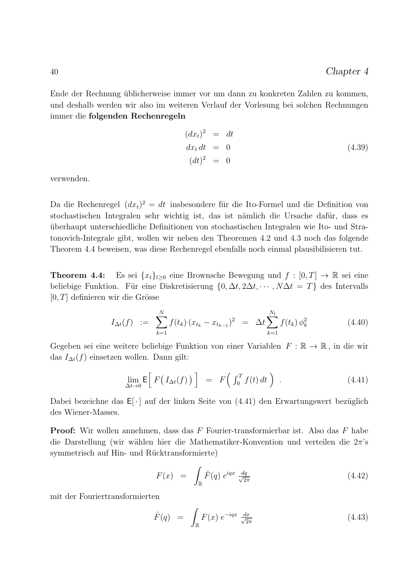Ende der Rechnung üblicherweise immer vor um dann zu konkreten Zahlen zu kommen, und deshalb werden wir also im weiteren Verlauf der Vorlesung bei solchen Rechnungen immer die folgenden Rechenregeln

$$
(dxt)2 = dtdxt dt = 0(dt)2 = 0
$$
 (4.39)

verwenden.

Da die Rechenregel  $(dx_t)^2 = dt$  insbesondere für die Ito-Formel und die Definition von stochastischen Integralen sehr wichtig ist, das ist nämlich die Ursache dafür, dass es ¨uberhaupt unterschiedliche Definitionen von stochastischen Integralen wie Ito- und Stratonovich-Integrale gibt, wollen wir neben den Theoremen 4.2 und 4.3 noch das folgende Theorem 4.4 beweisen, was diese Rechenregel ebenfalls noch einmal plausibilisieren tut.

**Theorem 4.4:** Es sei  $\{x_t\}_{t>0}$  eine Brownsche Bewegung und  $f : [0, T] \to \mathbb{R}$  sei eine beliebige Funktion. Für eine Diskretisierung  $\{0, \Delta t, 2\Delta t, \cdots, N\Delta t = T\}$  des Intervalls  $[0, T]$  definieren wir die Grösse

$$
I_{\Delta t}(f) := \sum_{k=1}^{N} f(t_k) (x_{t_k} - x_{t_{k-1}})^2 = \Delta t \sum_{k=1}^{N_t} f(t_k) \phi_k^2
$$
 (4.40)

Gegeben sei eine weitere beliebige Funktion von einer Variablen  $F : \mathbb{R} \to \mathbb{R}$ , in die wir das  $I_{\Delta t}(f)$  einsetzen wollen. Dann gilt:

$$
\lim_{\Delta t \to 0} \mathsf{E}\Big[ F\big(I_{\Delta t}(f)\big) \Big] = F\big(\int_0^T f(t) \, dt\big) \tag{4.41}
$$

Dabei bezeichne das  $E[\cdot]$  auf der linken Seite von (4.41) den Erwartungswert bezüglich des Wiener-Masses.

Proof: Wir wollen annehmen, dass das F Fourier-transformierbar ist. Also das F habe die Darstellung (wir wählen hier die Mathematiker-Konvention und verteilen die  $2\pi$ 's symmetrisch auf Hin- und Rücktransformierte)

$$
F(x) = \int_{\mathbb{R}} \hat{F}(q) e^{iqx} \frac{dq}{\sqrt{2\pi}}
$$
 (4.42)

mit der Fouriertransformierten

$$
\hat{F}(q) = \int_{\mathbb{R}} F(x) e^{-iqx} \frac{dx}{\sqrt{2\pi}}
$$
\n(4.43)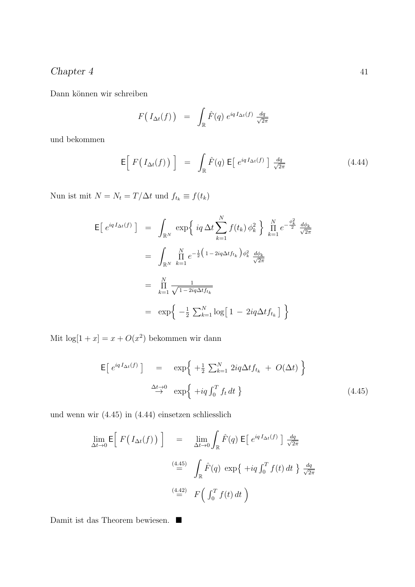$\mbox{Dann}$ können wir schreiben

$$
F(I_{\Delta t}(f)) = \int_{\mathbb{R}} \hat{F}(q) e^{iq I_{\Delta t}(f)} \frac{dq}{\sqrt{2\pi}}
$$

und bekommen

$$
\mathsf{E}\Big[\;F\big(\;I_{\Delta t}(f)\;\big)\;\Big] \;\;=\;\; \int_{\mathbb{R}}\hat{F}(q)\;\mathsf{E}\big[\;e^{iq\;I_{\Delta t}(f)}\;\big]\;\frac{dq}{\sqrt{2\pi}}\tag{4.44}
$$

Nun ist mit $N = N_t = T/\Delta t$ und $f_{t_k} \equiv f(t_k)$ 

$$
\begin{split}\n\mathsf{E}\left[\ e^{iq\,I_{\Delta t}(f)}\ \right] &= \int_{\mathbb{R}^N} \exp\left\{\ iq\,\Delta t \sum_{k=1}^N f(t_k)\,\phi_k^2\ \right\} \prod_{k=1}^N e^{-\frac{\phi_k^2}{2}} \frac{d\phi_k}{\sqrt{2\pi}} \\
&= \int_{\mathbb{R}^N} \prod_{k=1}^N e^{-\frac{1}{2}\left(1-2iq\Delta t f_{t_k}\right)\phi_k^2} \frac{d\phi_k}{\sqrt{2\pi}} \\
&= \prod_{k=1}^N \frac{1}{\sqrt{1-2iq\Delta t f_{t_k}}} \\
&= \exp\left\{-\frac{1}{2}\sum_{k=1}^N \log\left[1-2iq\Delta t f_{t_k}\right]\ \right\}\n\end{split}
$$

Mit  $\log[1+x] = x + O(x^2)$  bekommen wir dann

$$
\mathsf{E}\left[\ e^{iqI_{\Delta t}(f)}\right] = \exp\left\{ +\frac{1}{2}\sum_{k=1}^{N} 2iq\Delta t f_{t_k} + O(\Delta t) \right\}
$$
\n
$$
\xrightarrow{\Delta t \to 0} \exp\left\{ +iq\int_0^T f_t dt \right\}
$$
\n(4.45)

und wenn wir (4.45) in (4.44) einsetzen schliesslich

$$
\lim_{\Delta t \to 0} \mathsf{E} \Big[ F\big( I_{\Delta t}(f) \big) \Big] = \lim_{\Delta t \to 0} \int_{\mathbb{R}} \hat{F}(q) \, \mathsf{E} \Big[ e^{iq I_{\Delta t}(f)} \Big] \, \frac{dq}{\sqrt{2\pi}}
$$
\n
$$
\stackrel{(4.45)}{=} \int_{\mathbb{R}} \hat{F}(q) \, \exp \big\{ + iq \int_0^T f(t) \, dt \big\} \, \frac{dq}{\sqrt{2\pi}}
$$
\n
$$
\stackrel{(4.42)}{=} F\Big( \int_0^T f(t) \, dt \Big)
$$

Damit ist das Theorem bewiesen.  $\blacksquare$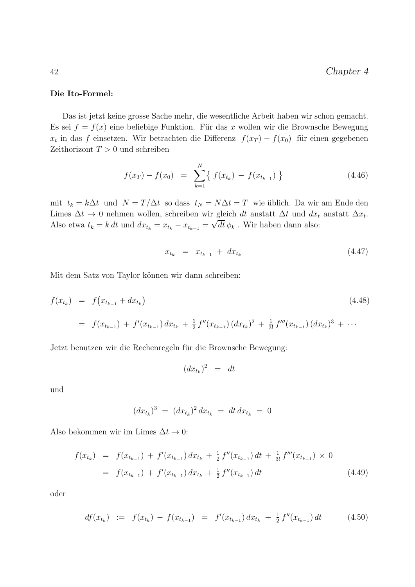#### Die Ito-Formel:

Das ist jetzt keine grosse Sache mehr, die wesentliche Arbeit haben wir schon gemacht. Es sei  $f = f(x)$  eine beliebige Funktion. Für das x wollen wir die Brownsche Bewegung  $x_t$  in das f einsetzen. Wir betrachten die Differenz  $f(x_T) - f(x_0)$  für einen gegebenen Zeithorizont  $T > 0$  und schreiben

$$
f(x_T) - f(x_0) = \sum_{k=1}^{N} \{ f(x_{t_k}) - f(x_{t_{k-1}}) \}
$$
\n(4.46)

mit  $t_k = k\Delta t$  und  $N = T/\Delta t$  so dass  $t_N = N\Delta t = T$  wie üblich. Da wir am Ende den Limes  $\Delta t \to 0$  nehmen wollen, schreiben wir gleich dt anstatt  $\Delta t$  und  $dx_t$  anstatt  $\Delta x_t$ . Also etwa  $t_k = k dt$  und  $dx_{t_k} = x_{t_k} - x_{t_{k-1}} = \sqrt{dt} \phi_k$ . Wir haben dann also:

$$
x_{t_k} = x_{t_{k-1}} + dx_{t_k} \tag{4.47}
$$

Mit dem Satz von Taylor können wir dann schreiben:

$$
f(x_{t_k}) = f(x_{t_{k-1}} + dx_{t_k})
$$
\n
$$
= f(x_{t_{k-1}}) + f'(x_{t_{k-1}}) dx_{t_k} + \frac{1}{2} f''(x_{t_{k-1}}) (dx_{t_k})^2 + \frac{1}{3!} f'''(x_{t_{k-1}}) (dx_{t_k})^3 + \cdots
$$
\n(4.48)

Jetzt benutzen wir die Rechenregeln für die Brownsche Bewegung:

$$
(dx_{t_k})^2 = dt
$$

und

$$
(dx_{t_k})^3 = (dx_{t_k})^2 dx_{t_k} = dt dx_{t_k} = 0
$$

Also bekommen wir im Limes  $\Delta t \to 0$ :

$$
f(x_{t_k}) = f(x_{t_{k-1}}) + f'(x_{t_{k-1}}) dx_{t_k} + \frac{1}{2} f''(x_{t_{k-1}}) dt + \frac{1}{3!} f'''(x_{t_{k-1}}) \times 0
$$
  
=  $f(x_{t_{k-1}}) + f'(x_{t_{k-1}}) dx_{t_k} + \frac{1}{2} f''(x_{t_{k-1}}) dt$  (4.49)

oder

$$
df(x_{t_k}) := f(x_{t_k}) - f(x_{t_{k-1}}) = f'(x_{t_{k-1}}) dx_{t_k} + \frac{1}{2} f''(x_{t_{k-1}}) dt \qquad (4.50)
$$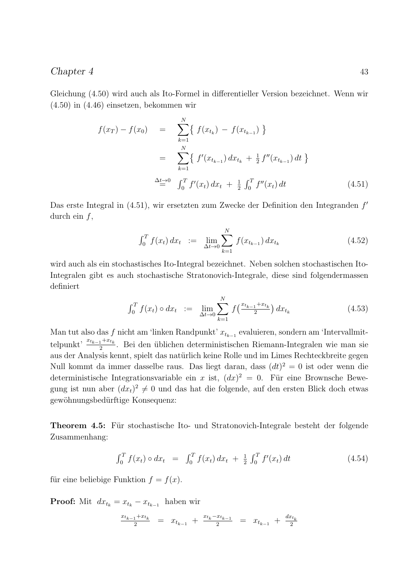Gleichung (4.50) wird auch als Ito-Formel in differentieller Version bezeichnet. Wenn wir (4.50) in (4.46) einsetzen, bekommen wir

$$
f(x_T) - f(x_0) = \sum_{k=1}^{N} \{ f(x_{t_k}) - f(x_{t_{k-1}}) \}
$$
  

$$
= \sum_{k=1}^{N} \{ f'(x_{t_{k-1}}) dx_{t_k} + \frac{1}{2} f''(x_{t_{k-1}}) dt \}
$$
  

$$
\stackrel{\Delta t \to 0}{=} \int_0^T f'(x_t) dx_t + \frac{1}{2} \int_0^T f''(x_t) dt
$$
(4.51)

Das erste Integral in (4.51), wir ersetzten zum Zwecke der Definition den Integranden f' durch ein  $f$ ,

$$
\int_0^T f(x_t) \, dx_t \ := \ \lim_{\Delta t \to 0} \sum_{k=1}^N f(x_{t_{k-1}}) \, dx_{t_k} \tag{4.52}
$$

wird auch als ein stochastisches Ito-Integral bezeichnet. Neben solchen stochastischen Ito-Integralen gibt es auch stochastische Stratonovich-Integrale, diese sind folgendermassen definiert

$$
\int_0^T f(x_t) \circ dx_t \ := \ \lim_{\Delta t \to 0} \sum_{k=1}^N f\left(\frac{x_{t_{k-1}} + x_{t_k}}{2}\right) dx_{t_k} \tag{4.53}
$$

Man tut also das f nicht am 'linken Randpunkt'  $x_{t_{k-1}}$  evaluieren, sondern am 'Intervallmittelpunkt'  $\frac{x_{t_{k-1}}+x_{t_k}}{2}$ . Bei den üblichen deterministischen Riemann-Integralen wie man sie aus der Analysis kennt, spielt das natürlich keine Rolle und im Limes Rechteckbreite gegen Null kommt da immer dasselbe raus. Das liegt daran, dass  $(dt)^2 = 0$  ist oder wenn die deterministische Integrationsvariable ein x ist,  $(dx)^2 = 0$ . Für eine Brownsche Bewegung ist nun aber  $(dx_t)^2 \neq 0$  und das hat die folgende, auf den ersten Blick doch etwas gewöhnungsbedürftige Konsequenz:

Theorem 4.5: Für stochastische Ito- und Stratonovich-Integrale besteht der folgende Zusammenhang:

$$
\int_0^T f(x_t) \circ dx_t = \int_0^T f(x_t) dx_t + \frac{1}{2} \int_0^T f'(x_t) dt \qquad (4.54)
$$

für eine beliebige Funktion  $f = f(x)$ .

**Proof:** Mit  $dx_{t_k} = x_{t_k} - x_{t_{k-1}}$  haben wir

$$
\frac{x_{t_{k-1}} + x_{t_k}}{2} = x_{t_{k-1}} + \frac{x_{t_k} - x_{t_{k-1}}}{2} = x_{t_{k-1}} + \frac{dx_{t_k}}{2}
$$